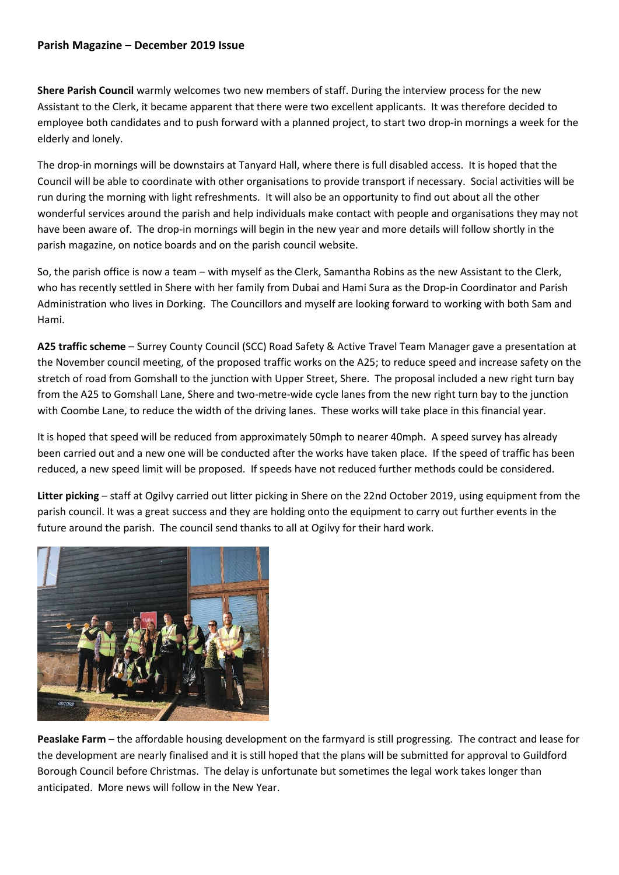## **Parish Magazine – December 2019 Issue**

**Shere Parish Council** warmly welcomes two new members of staff. During the interview process for the new Assistant to the Clerk, it became apparent that there were two excellent applicants. It was therefore decided to employee both candidates and to push forward with a planned project, to start two drop-in mornings a week for the elderly and lonely.

The drop-in mornings will be downstairs at Tanyard Hall, where there is full disabled access. It is hoped that the Council will be able to coordinate with other organisations to provide transport if necessary. Social activities will be run during the morning with light refreshments. It will also be an opportunity to find out about all the other wonderful services around the parish and help individuals make contact with people and organisations they may not have been aware of. The drop-in mornings will begin in the new year and more details will follow shortly in the parish magazine, on notice boards and on the parish council website.

So, the parish office is now a team – with myself as the Clerk, Samantha Robins as the new Assistant to the Clerk, who has recently settled in Shere with her family from Dubai and Hami Sura as the Drop-in Coordinator and Parish Administration who lives in Dorking. The Councillors and myself are looking forward to working with both Sam and Hami.

**A25 traffic scheme** – Surrey County Council (SCC) Road Safety & Active Travel Team Manager gave a presentation at the November council meeting, of the proposed traffic works on the A25; to reduce speed and increase safety on the stretch of road from Gomshall to the junction with Upper Street, Shere. The proposal included a new right turn bay from the A25 to Gomshall Lane, Shere and two-metre-wide cycle lanes from the new right turn bay to the junction with Coombe Lane, to reduce the width of the driving lanes. These works will take place in this financial year.

It is hoped that speed will be reduced from approximately 50mph to nearer 40mph. A speed survey has already been carried out and a new one will be conducted after the works have taken place. If the speed of traffic has been reduced, a new speed limit will be proposed. If speeds have not reduced further methods could be considered.

**Litter picking** – staff at Ogilvy carried out litter picking in Shere on the 22nd October 2019, using equipment from the parish council. It was a great success and they are holding onto the equipment to carry out further events in the future around the parish. The council send thanks to all at Ogilvy for their hard work.



**Peaslake Farm** – the affordable housing development on the farmyard is still progressing. The contract and lease for the development are nearly finalised and it is still hoped that the plans will be submitted for approval to Guildford Borough Council before Christmas. The delay is unfortunate but sometimes the legal work takes longer than anticipated. More news will follow in the New Year.